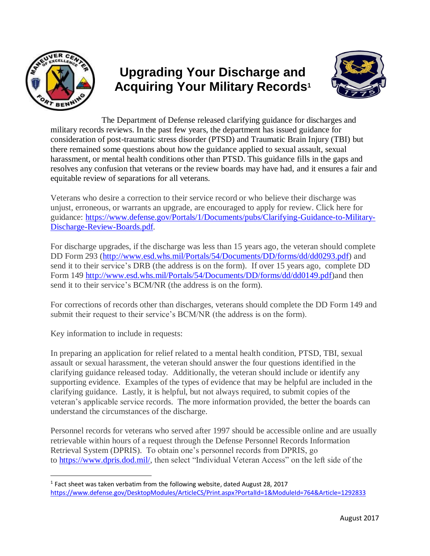

 $\overline{\phantom{a}}$ 

## **Upgrading Your Discharge and Acquiring Your Military Records<sup>1</sup>**



The Department of Defense released clarifying guidance for discharges and military records reviews. In the past few years, the department has issued guidance for consideration of post-traumatic stress disorder (PTSD) and Traumatic Brain Injury (TBI) but there remained some questions about how the guidance applied to sexual assault, sexual harassment, or mental health conditions other than PTSD. This guidance fills in the gaps and resolves any confusion that veterans or the review boards may have had, and it ensures a fair and equitable review of separations for all veterans.

Veterans who desire a correction to their service record or who believe their discharge was unjust, erroneous, or warrants an upgrade, are encouraged to apply for review. Click here for guidance: [https://www.defense.gov/Portals/1/Documents/pubs/Clarifying-Guidance-to-Military-](https://www.defense.gov/Portals/1/Documents/pubs/Clarifying-Guidance-to-Military-Discharge-Review-Boards.pdf)[Discharge-Review-Boards.pdf.](https://www.defense.gov/Portals/1/Documents/pubs/Clarifying-Guidance-to-Military-Discharge-Review-Boards.pdf)

For discharge upgrades, if the discharge was less than 15 years ago, the veteran should complete DD Form 293 [\(http://www.esd.whs.mil/Portals/54/Documents/DD/forms/dd/dd0293.pdf\)](http://www.esd.whs.mil/Portals/54/Documents/DD/forms/dd/dd0293.pdf) and send it to their service's DRB (the address is on the form). If over 15 years ago, complete DD Form 149 [http://www.esd.whs.mil/Portals/54/Documents/DD/forms/dd/dd0149.pdf\)](http://www.esd.whs.mil/Portals/54/Documents/DD/forms/dd/dd0149.pdf)and then send it to their service's BCM/NR (the address is on the form).

For corrections of records other than discharges, veterans should complete the DD Form 149 and submit their request to their service's BCM/NR (the address is on the form).

Key information to include in requests:

In preparing an application for relief related to a mental health condition, PTSD, TBI, sexual assault or sexual harassment, the veteran should answer the four questions identified in the clarifying guidance released today. Additionally, the veteran should include or identify any supporting evidence. Examples of the types of evidence that may be helpful are included in the clarifying guidance. Lastly, it is helpful, but not always required, to submit copies of the veteran's applicable service records. The more information provided, the better the boards can understand the circumstances of the discharge.

Personnel records for veterans who served after 1997 should be accessible online and are usually retrievable within hours of a request through the Defense Personnel Records Information Retrieval System (DPRIS). To obtain one's personnel records from DPRIS, go to [https://www.dpris.dod.mil/,](https://www.dpris.dod.mil/) then select "Individual Veteran Access" on the left side of the

 $<sup>1</sup>$  Fact sheet was taken verbatim from the following website, dated August 28, 2017</sup> <https://www.defense.gov/DesktopModules/ArticleCS/Print.aspx?PortalId=1&ModuleId=764&Article=1292833>